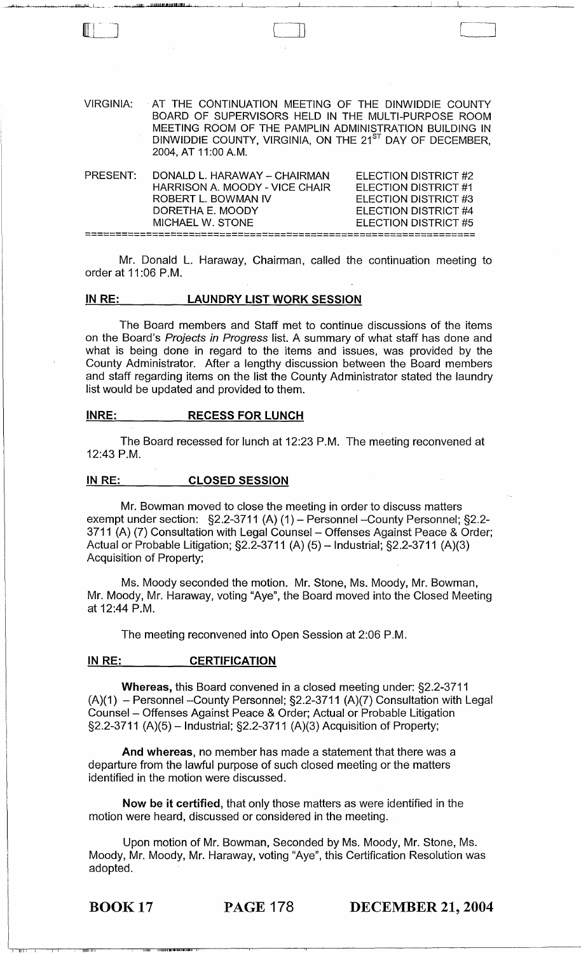| VIRGINIA: | AT THE CONTINUATION MEETING OF THE DINWIDDIE COUNTY                  |
|-----------|----------------------------------------------------------------------|
|           | BOARD OF SUPERVISORS HELD IN THE MULTI-PURPOSE ROOM                  |
|           | MEETING ROOM OF THE PAMPLIN ADMINISTRATION BUILDING IN               |
|           | DINWIDDIE COUNTY, VIRGINIA, ON THE 21 <sup>ST</sup> DAY OF DECEMBER, |
|           | 2004, AT 11:00 A.M.                                                  |
|           |                                                                      |

| PRESENT: | DONALD L. HARAWAY - CHAIRMAN   | ELECTION DISTRICT #2 |
|----------|--------------------------------|----------------------|
|          | HARRISON A. MOODY - VICE CHAIR | ELECTION DISTRICT #1 |
|          | ROBERT L. BOWMAN IV            | ELECTION DISTRICT #3 |
|          | DORETHA E. MOODY               | ELECTION DISTRICT #4 |
|          | MICHAEL W. STONE               | ELECTION DISTRICT #5 |
|          |                                |                      |

Mr. Donald L. Haraway, Chairman, called the continuation meeting to order at 11 :06 P.M.

# IN RE: LAUNDRY LIST WORK SESSION

The Board members and Staff met to continue discussions of the items on the Board's Projects in Progress list. A summary of what staff has done and what is being done in regard to the items and issues, was provided by the County Administrator. After a lengthy discussion between the Board members and staff regarding items on the list the County Administrator stated the laundry list would be updated and provided to them.

### INRE: RECESS FOR LUNCH

WI! lJIJIJUIIII'I!!'W:lJ!..:J..;

 $\Box$ 

The Board recessed for lunch at 12:23 P.M. The meeting reconvened at 12:43 P.M.

#### IN RE: CLOSED SESSION

Mr. Bowman moved to close the meeting in order to discuss matters exempt under section: §2.2-3711 (A) (1) - Personnel - County Personnel; §2.2-3711 (A) (7) Consultation with Legal Counsel - Offenses Against Peace & Order; Actual or Probable Litigation;  $\S2.2 - 3711$  (A) (5) - Industrial;  $\S2.2 - 3711$  (A)(3) Acquisition of Property;

Ms. Moody seconded the motion. Mr. Stone, Ms. Moody, Mr. Bowman, Mr. Moody, Mr. Haraway, voting "Aye", the Board moved into the Closed Meeting at 12:44 P.M.

The meeting reconvened into Open Session at 2:06 P.M.

### IN RE: CERTIFICATION

Whereas, this Board convened in a closed meeting under: §2.2-3711  $(A)(1)$  - Personnel -- County Personnel; §2.2-3711  $(A)(7)$  Consultation with Legal Counsel - Offenses Against Peace & Order; Actual or Probable Litigation §2.2-3711 (A)(5) - Industrial; §2.2-3711 (A)(3) Acquisition of Property;

And whereas, no member has made a statement that there was a departure from the lawful purpose of such closed meeting or the matters identified in the motion were discussed.

Now be it certified, that only those matters as were identified in the motion were heard, discussed or considered in the meeting.

Upon motion of Mr. Bowman, Seconded by Ms. Moody, Mr. Stone, Ms. Moody, Mr. Moody, Mr. Haraway, voting "Aye", this Certification Resolution was adopted.

1I:I~j, Ii I Hhl Illidll,...\_",,!.',"'''1 I,

 $\overline{\phantom{a}}$  in the  $\overline{\phantom{a}}$ 

lBOOK17 PAGE 178 DECEMBER 21, 2004